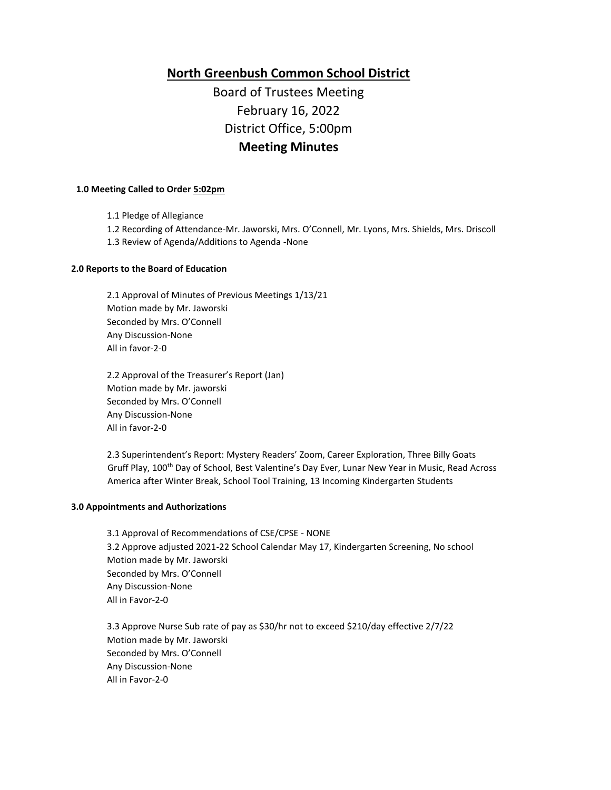**North Greenbush Common School District** Board of Trustees Meeting February 16, 2022 District Office, 5:00pm **Meeting Minutes**

## **1.0 Meeting Called to Order 5:02pm**

1.1 Pledge of Allegiance

1.2 Recording of Attendance-Mr. Jaworski, Mrs. O'Connell, Mr. Lyons, Mrs. Shields, Mrs. Driscoll

1.3 Review of Agenda/Additions to Agenda -None

### **2.0 Reports to the Board of Education**

2.1 Approval of Minutes of Previous Meetings 1/13/21 Motion made by Mr. Jaworski Seconded by Mrs. O'Connell Any Discussion-None All in favor-2-0

2.2 Approval of the Treasurer's Report (Jan) Motion made by Mr. jaworski Seconded by Mrs. O'Connell Any Discussion-None All in favor-2-0

2.3 Superintendent's Report: Mystery Readers' Zoom, Career Exploration, Three Billy Goats Gruff Play, 100th Day of School, Best Valentine's Day Ever, Lunar New Year in Music, Read Across America after Winter Break, School Tool Training, 13 Incoming Kindergarten Students

#### **3.0 Appointments and Authorizations**

3.1 Approval of Recommendations of CSE/CPSE - NONE 3.2 Approve adjusted 2021-22 School Calendar May 17, Kindergarten Screening, No school Motion made by Mr. Jaworski Seconded by Mrs. O'Connell Any Discussion-None All in Favor-2-0

3.3 Approve Nurse Sub rate of pay as \$30/hr not to exceed \$210/day effective 2/7/22 Motion made by Mr. Jaworski Seconded by Mrs. O'Connell Any Discussion-None All in Favor-2-0